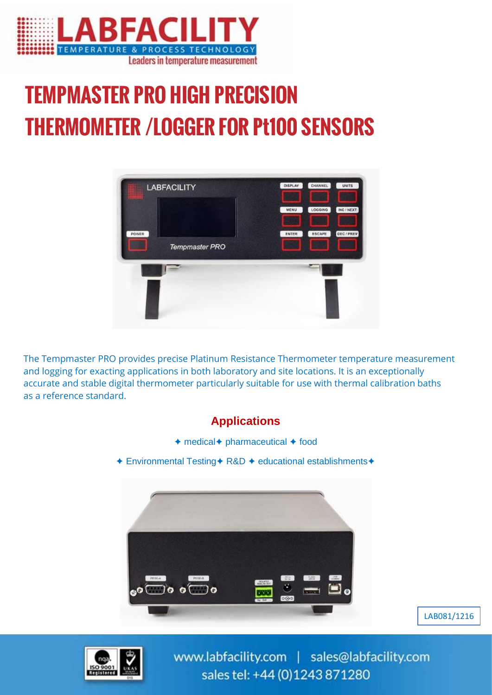

# TEMPMASTER PRO HIGH PRECISION THERMOMETER /LOGGER FOR Pt100 SENSORS



The Tempmaster PRO provides precise Platinum Resistance Thermometer temperature measurement and logging for exacting applications in both laboratory and site locations. It is an exceptionally accurate and stable digital thermometer particularly suitable for use with thermal calibration baths as a reference standard.





www.labfacility.com | sales@labfacility.com sales tel: +44 (0)1243 871280

LAB081/1216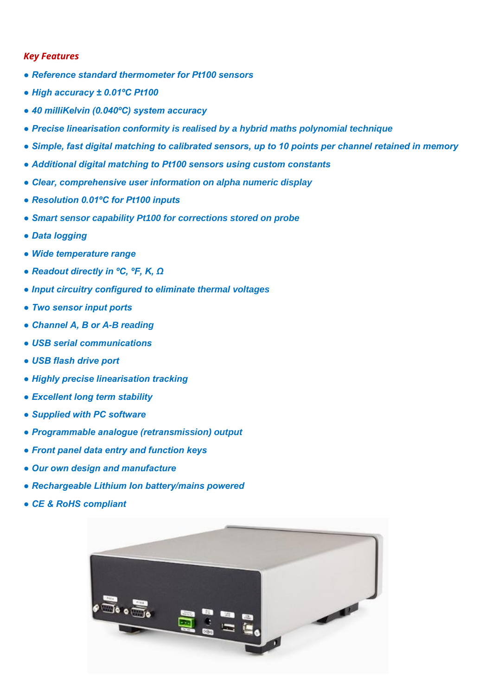#### *Key Features*

- *Reference standard thermometer for Pt100 sensors*
- *High accuracy ± 0.01ºC Pt100*
- *40 milliKelvin (0.040ºC) system accuracy*
- *Precise linearisation conformity is realised by a hybrid maths polynomial technique*
- *Simple, fast digital matching to calibrated sensors, up to 10 points per channel retained in memory*
- *Additional digital matching to Pt100 sensors using custom constants*
- *Clear, comprehensive user information on alpha numeric display*
- *Resolution 0.01ºC for Pt100 inputs*
- *Smart sensor capability Pt100 for corrections stored on probe*
- *Data logging*
- *Wide temperature range*
- *Readout directly in ºC, ºF, K, Ω*
- *Input circuitry configured to eliminate thermal voltages*
- *Two sensor input ports*
- *Channel A, B or A-B reading*
- *USB serial communications*
- *USB flash drive port*
- *Highly precise linearisation tracking*
- *Excellent long term stability*
- *Supplied with PC software*
- *Programmable analogue (retransmission) output*
- *Front panel data entry and function keys*
- *Our own design and manufacture*
- *Rechargeable Lithium Ion battery/mains powered*
- *CE & RoHS compliant*

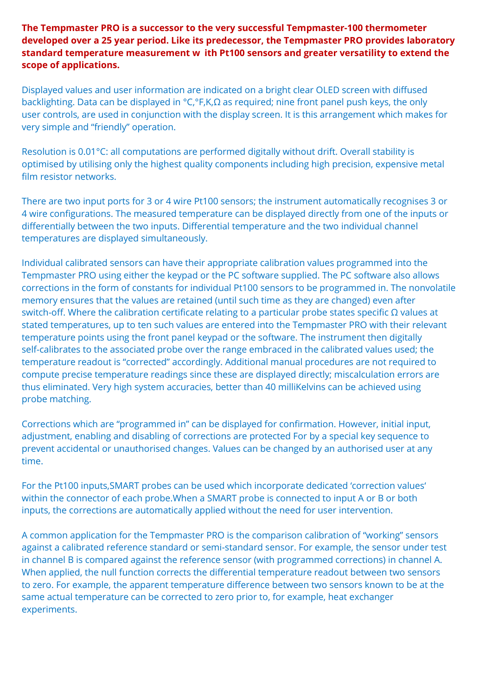**The Tempmaster PRO is a successor to the very successful Tempmaster-100 thermometer developed over a 25 year period. Like its predecessor, the Tempmaster PRO provides laboratory standard temperature measurement w ith Pt100 sensors and greater versatility to extend the scope of applications.**

Displayed values and user information are indicated on a bright clear OLED screen with diffused backlighting. Data can be displayed in °C,°F,K,Ω as required; nine front panel push keys, the only user controls, are used in conjunction with the display screen. It is this arrangement which makes for very simple and "friendly" operation.

Resolution is 0.01°C: all computations are performed digitally without drift. Overall stability is optimised by utilising only the highest quality components including high precision, expensive metal film resistor networks.

There are two input ports for 3 or 4 wire Pt100 sensors; the instrument automatically recognises 3 or 4 wire configurations. The measured temperature can be displayed directly from one of the inputs or differentially between the two inputs. Differential temperature and the two individual channel temperatures are displayed simultaneously.

Individual calibrated sensors can have their appropriate calibration values programmed into the Tempmaster PRO using either the keypad or the PC software supplied. The PC software also allows corrections in the form of constants for individual Pt100 sensors to be programmed in. The nonvolatile memory ensures that the values are retained (until such time as they are changed) even after switch-off. Where the calibration certificate relating to a particular probe states specific Ω values at stated temperatures, up to ten such values are entered into the Tempmaster PRO with their relevant temperature points using the front panel keypad or the software. The instrument then digitally self-calibrates to the associated probe over the range embraced in the calibrated values used; the temperature readout is "corrected" accordingly. Additional manual procedures are not required to compute precise temperature readings since these are displayed directly; miscalculation errors are thus eliminated. Very high system accuracies, better than 40 milliKelvins can be achieved using probe matching.

Corrections which are "programmed in" can be displayed for confirmation. However, initial input, adjustment, enabling and disabling of corrections are protected For by a special key sequence to prevent accidental or unauthorised changes. Values can be changed by an authorised user at any time.

For the Pt100 inputs,SMART probes can be used which incorporate dedicated 'correction values' within the connector of each probe.When a SMART probe is connected to input A or B or both inputs, the corrections are automatically applied without the need for user intervention.

A common application for the Tempmaster PRO is the comparison calibration of "working" sensors against a calibrated reference standard or semi-standard sensor. For example, the sensor under test in channel B is compared against the reference sensor (with programmed corrections) in channel A. When applied, the null function corrects the differential temperature readout between two sensors to zero. For example, the apparent temperature difference between two sensors known to be at the same actual temperature can be corrected to zero prior to, for example, heat exchanger experiments.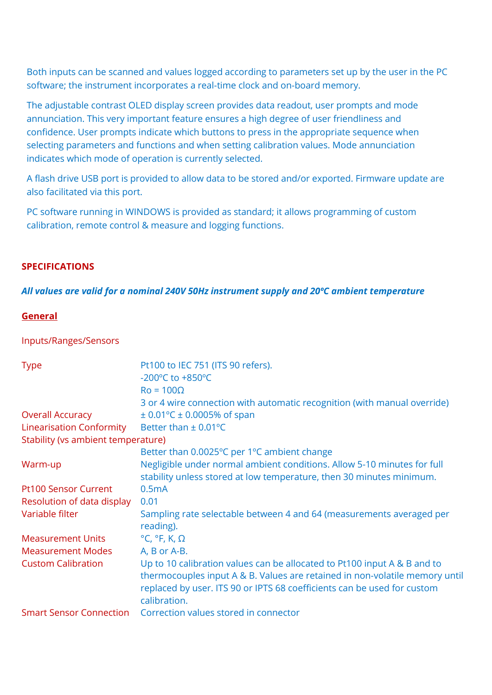Both inputs can be scanned and values logged according to parameters set up by the user in the PC software; the instrument incorporates a real-time clock and on-board memory.

The adjustable contrast OLED display screen provides data readout, user prompts and mode annunciation. This very important feature ensures a high degree of user friendliness and confidence. User prompts indicate which buttons to press in the appropriate sequence when selecting parameters and functions and when setting calibration values. Mode annunciation indicates which mode of operation is currently selected.

A flash drive USB port is provided to allow data to be stored and/or exported. Firmware update are also facilitated via this port.

PC software running in WINDOWS is provided as standard; it allows programming of custom calibration, remote control & measure and logging functions.

## **SPECIFICATIONS**

### *All values are valid for a nominal 240V 50Hz instrument supply and 20ºC ambient temperature*

### **General**

#### Inputs/Ranges/Sensors

| <b>Type</b>                        | Pt100 to IEC 751 (ITS 90 refers).<br>-200°C to +850°C                                                                                                                  |
|------------------------------------|------------------------------------------------------------------------------------------------------------------------------------------------------------------------|
|                                    | $Ro = 100\Omega$                                                                                                                                                       |
|                                    | 3 or 4 wire connection with automatic recognition (with manual override)                                                                                               |
| <b>Overall Accuracy</b>            | $\pm$ 0.01 °C $\pm$ 0.0005% of span                                                                                                                                    |
| <b>Linearisation Conformity</b>    | Better than $\pm$ 0.01°C                                                                                                                                               |
| Stability (vs ambient temperature) |                                                                                                                                                                        |
|                                    | Better than 0.0025°C per 1°C ambient change                                                                                                                            |
| Warm-up                            | Negligible under normal ambient conditions. Allow 5-10 minutes for full                                                                                                |
|                                    | stability unless stored at low temperature, then 30 minutes minimum.                                                                                                   |
| <b>Pt100 Sensor Current</b>        | 0.5mA                                                                                                                                                                  |
| Resolution of data display         | 0.01                                                                                                                                                                   |
| Variable filter                    | Sampling rate selectable between 4 and 64 (measurements averaged per<br>reading).                                                                                      |
| <b>Measurement Units</b>           | $^{\circ}$ C, $^{\circ}$ F, K, $\Omega$                                                                                                                                |
| <b>Measurement Modes</b>           | A, B or A-B.                                                                                                                                                           |
| <b>Custom Calibration</b>          | Up to 10 calibration values can be allocated to Pt100 input A & B and to                                                                                               |
|                                    | thermocouples input A & B. Values are retained in non-volatile memory until<br>replaced by user. ITS 90 or IPTS 68 coefficients can be used for custom<br>calibration. |
| <b>Smart Sensor Connection</b>     | Correction values stored in connector                                                                                                                                  |